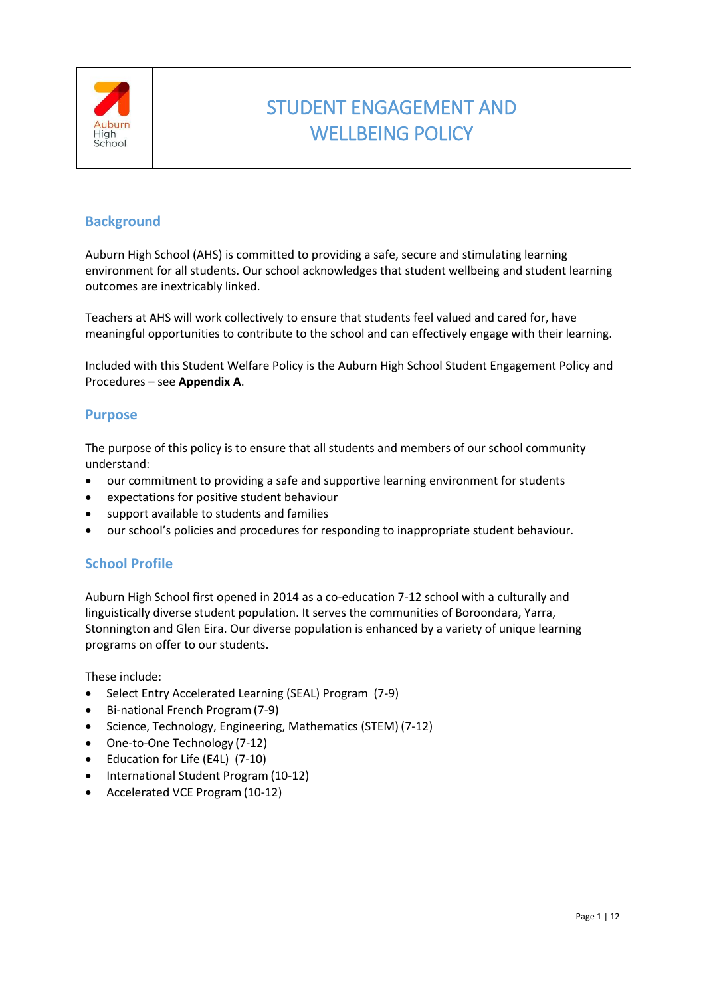

# STUDENT ENGAGEMENT AND WELLBEING POLICY

# **Background**

Auburn High School (AHS) is committed to providing a safe, secure and stimulating learning environment for all students. Our school acknowledges that student wellbeing and student learning outcomes are inextricably linked.

Teachers at AHS will work collectively to ensure that students feel valued and cared for, have meaningful opportunities to contribute to the school and can effectively engage with their learning.

Included with this Student Welfare Policy is the Auburn High School Student Engagement Policy and Procedures – see **Appendix A**.

## **Purpose**

The purpose of this policy is to ensure that all students and members of our school community understand:

- our commitment to providing a safe and supportive learning environment for students
- expectations for positive student behaviour
- support available to students and families
- our school's policies and procedures for responding to inappropriate student behaviour.

## **School Profile**

Auburn High School first opened in 2014 as a co-education 7-12 school with a culturally and linguistically diverse student population. It serves the communities of Boroondara, Yarra, Stonnington and Glen Eira. Our diverse population is enhanced by a variety of unique learning programs on offer to our students.

These include:

- Select Entry Accelerated Learning (SEAL) Program (7-9)
- Bi-national French Program (7-9)
- Science, Technology, Engineering, Mathematics (STEM) (7-12)
- One-to-One Technology (7-12)
- Education for Life (E4L) (7-10)
- International Student Program (10-12)
- Accelerated VCE Program (10-12)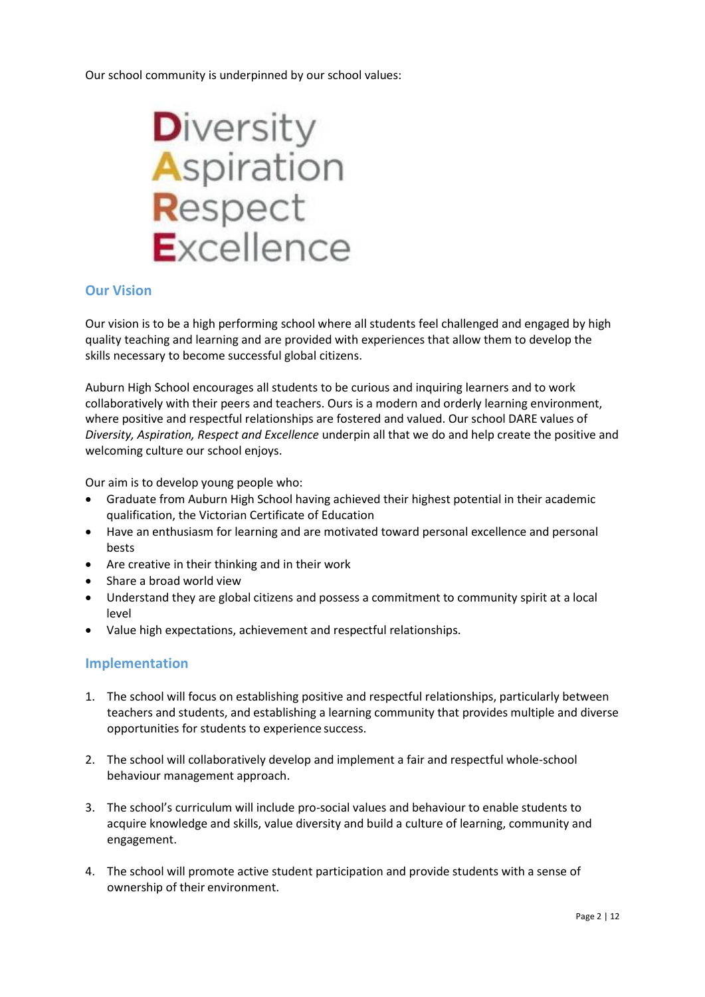Our school community is underpinned by our school values:



## **Our Vision**

Our vision is to be a high performing school where all students feel challenged and engaged by high quality teaching and learning and are provided with experiences that allow them to develop the skills necessary to become successful global citizens.

Auburn High School encourages all students to be curious and inquiring learners and to work collaboratively with their peers and teachers. Ours is a modern and orderly learning environment, where positive and respectful relationships are fostered and valued. Our school DARE values of *Diversity, Aspiration, Respect and Excellence* underpin all that we do and help create the positive and welcoming culture our school enjoys.

Our aim is to develop young people who:

- Graduate from Auburn High School having achieved their highest potential in their academic qualification, the Victorian Certificate of Education
- Have an enthusiasm for learning and are motivated toward personal excellence and personal bests
- Are creative in their thinking and in their work
- Share a broad world view
- Understand they are global citizens and possess a commitment to community spirit at a local level
- Value high expectations, achievement and respectful relationships.

## **Implementation**

- 1. The school will focus on establishing positive and respectful relationships, particularly between teachers and students, and establishing a learning community that provides multiple and diverse opportunities for students to experience success.
- 2. The school will collaboratively develop and implement a fair and respectful whole-school behaviour management approach.
- 3. The school's curriculum will include pro-social values and behaviour to enable students to acquire knowledge and skills, value diversity and build a culture of learning, community and engagement.
- 4. The school will promote active student participation and provide students with a sense of ownership of their environment.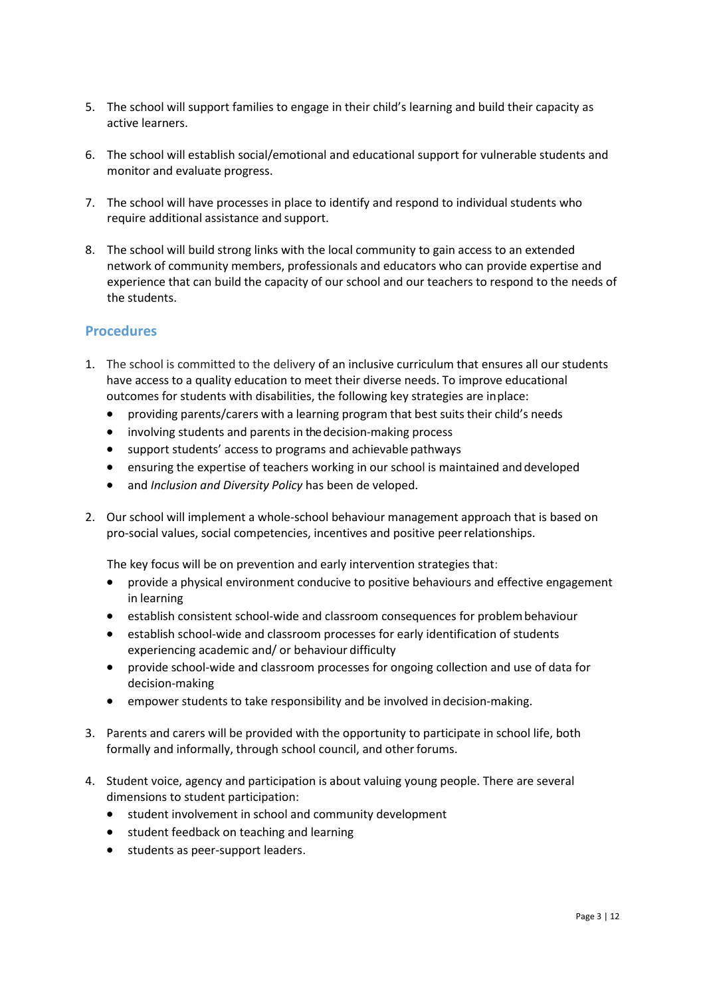- 5. The school will support families to engage in their child's learning and build their capacity as active learners.
- 6. The school will establish social/emotional and educational support for vulnerable students and monitor and evaluate progress.
- 7. The school will have processes in place to identify and respond to individual students who require additional assistance and support.
- 8. The school will build strong links with the local community to gain access to an extended network of community members, professionals and educators who can provide expertise and experience that can build the capacity of our school and our teachers to respond to the needs of the students.

## **Procedures**

- 1. The school is committed to the delivery of an inclusive curriculum that ensures all our students have access to a quality education to meet their diverse needs. To improve educational outcomes for students with disabilities, the following key strategies are inplace:
	- providing parents/carers with a learning program that best suits their child's needs
	- involving students and parents in the decision-making process
	- support students' access to programs and achievable pathways
	- ensuring the expertise of teachers working in our school is maintained and developed
	- and *Inclusion and Diversity Policy* has been de veloped.
- 2. Our school will implement a whole-school behaviour management approach that is based on pro-social values, social competencies, incentives and positive peerrelationships.

The key focus will be on prevention and early intervention strategies that:

- provide a physical environment conducive to positive behaviours and effective engagement in learning
- establish consistent school-wide and classroom consequences for problembehaviour
- establish school-wide and classroom processes for early identification of students experiencing academic and/ or behaviour difficulty
- provide school-wide and classroom processes for ongoing collection and use of data for decision-making
- empower students to take responsibility and be involved in decision-making.
- 3. Parents and carers will be provided with the opportunity to participate in school life, both formally and informally, through school council, and other forums.
- 4. Student voice, agency and participation is about valuing young people. There are several dimensions to student participation:
	- student involvement in school and community development
	- **•** student feedback on teaching and learning
	- students as peer-support leaders.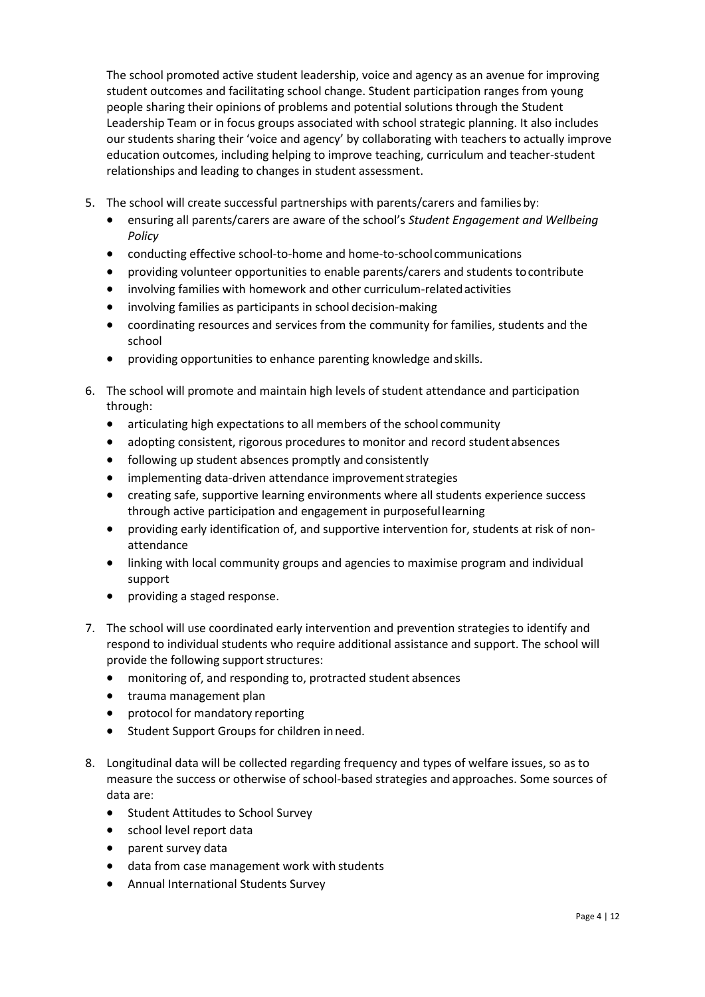The school promoted active student leadership, voice and agency as an avenue for improving student outcomes and facilitating school change. Student participation ranges from young people sharing their opinions of problems and potential solutions through the Student Leadership Team or in focus groups associated with school strategic planning. It also includes our students sharing their 'voice and agency' by collaborating with teachers to actually improve education outcomes, including helping to improve teaching, curriculum and teacher-student relationships and leading to changes in student assessment.

- 5. The school will create successful partnerships with parents/carers and families by:
	- ensuring all parents/carers are aware of the school's *Student Engagement and Wellbeing Policy*
	- conducting effective school-to-home and home-to-school communications
	- providing volunteer opportunities to enable parents/carers and students tocontribute
	- involving families with homework and other curriculum-relatedactivities
	- involving families as participants in school decision-making
	- coordinating resources and services from the community for families, students and the school
	- providing opportunities to enhance parenting knowledge andskills.
- 6. The school will promote and maintain high levels of student attendance and participation through:
	- articulating high expectations to all members of the school community
	- adopting consistent, rigorous procedures to monitor and record studentabsences
	- following up student absences promptly and consistently
	- implementing data-driven attendance improvement strategies
	- creating safe, supportive learning environments where all students experience success through active participation and engagement in purposefullearning
	- providing early identification of, and supportive intervention for, students at risk of nonattendance
	- linking with local community groups and agencies to maximise program and individual support
	- providing a staged response.
- 7. The school will use coordinated early intervention and prevention strategies to identify and respond to individual students who require additional assistance and support. The school will provide the following support structures:
	- monitoring of, and responding to, protracted student absences
	- trauma management plan
	- protocol for mandatory reporting
	- Student Support Groups for children inneed.
- 8. Longitudinal data will be collected regarding frequency and types of welfare issues, so as to measure the success or otherwise of school-based strategies and approaches. Some sources of data are:
	- **•** Student Attitudes to School Survey
	- school level report data
	- parent survey data
	- data from case management work with students
	- Annual International Students Survey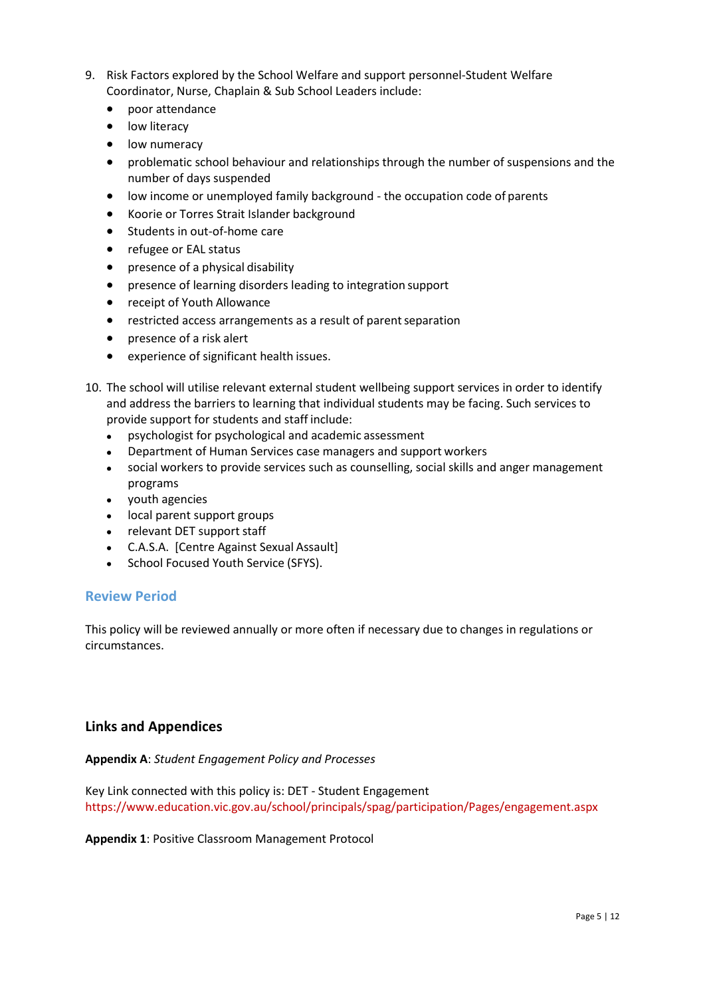- 9. Risk Factors explored by the School Welfare and support personnel-Student Welfare Coordinator, Nurse, Chaplain & Sub School Leaders include:
	- poor attendance
	- low literacy
	- low numeracy
	- problematic school behaviour and relationships through the number of suspensions and the number of days suspended
	- low income or unemployed family background the occupation code of parents
	- Koorie or Torres Strait Islander background
	- Students in out-of-home care
	- refugee or EAL status
	- presence of a physical disability
	- presence of learning disorders leading to integration support
	- receipt of Youth Allowance
	- restricted access arrangements as a result of parent separation
	- presence of a risk alert
	- experience of significant health issues.
- 10. The school will utilise relevant external student wellbeing support services in order to identify and address the barriers to learning that individual students may be facing. Such services to provide support for students and staff include:
	- psychologist for psychological and academic assessment
	- Department of Human Services case managers and support workers
	- social workers to provide services such as counselling, social skills and anger management programs
	- youth agencies
	- local parent support groups
	- relevant DET support staff
	- C.A.S.A. [Centre Against Sexual Assault]
	- School Focused Youth Service (SFYS).

## **Review Period**

This policy will be reviewed annually or more often if necessary due to changes in regulations or circumstances.

## **Links and Appendices**

**Appendix A**: *Student Engagement Policy and Processes*

Key Link connected with this policy is: DET - Student Engagement <https://www.education.vic.gov.au/school/principals/spag/participation/Pages/engagement.aspx>

## **Appendix 1**: Positive Classroom Management Protocol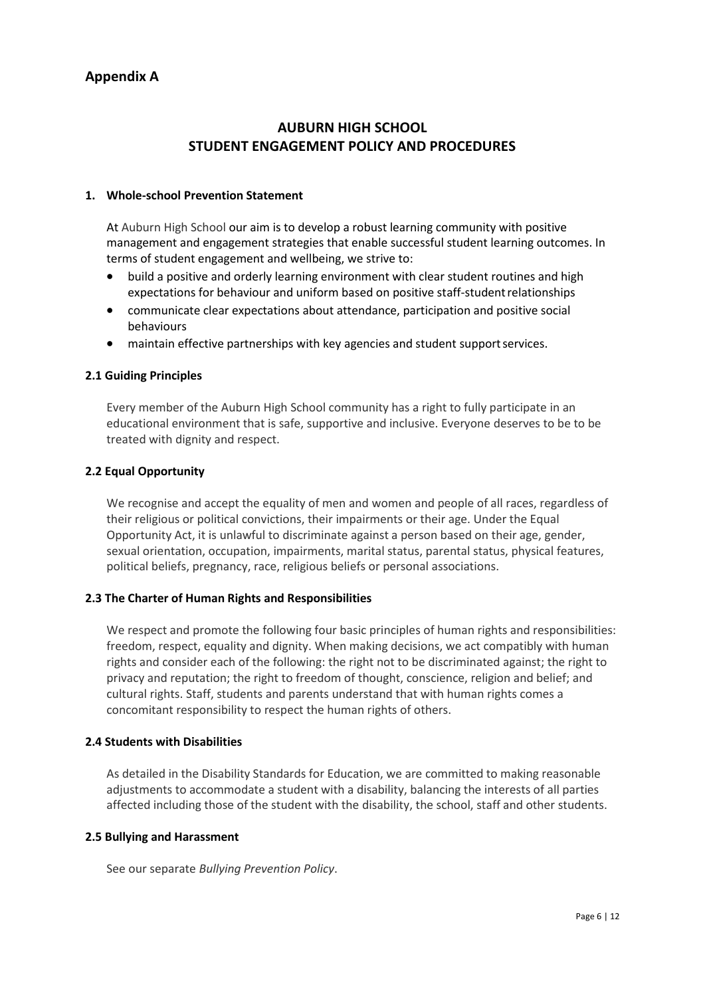# **AUBURN HIGH SCHOOL STUDENT ENGAGEMENT POLICY AND PROCEDURES**

#### **1. Whole-school Prevention Statement**

At Auburn High School our aim is to develop a robust learning community with positive management and engagement strategies that enable successful student learning outcomes. In terms of student engagement and wellbeing, we strive to:

- build a positive and orderly learning environment with clear student routines and high expectations for behaviour and uniform based on positive staff-studentrelationships
- communicate clear expectations about attendance, participation and positive social behaviours
- maintain effective partnerships with key agencies and student supportservices.

#### **2.1 Guiding Principles**

Every member of the Auburn High School community has a right to fully participate in an educational environment that is safe, supportive and inclusive. Everyone deserves to be to be treated with dignity and respect.

#### **2.2 Equal Opportunity**

We recognise and accept the equality of men and women and people of all races, regardless of their religious or political convictions, their impairments or their age. Under the Equal Opportunity Act, it is unlawful to discriminate against a person based on their age, gender, sexual orientation, occupation, impairments, marital status, parental status, physical features, political beliefs, pregnancy, race, religious beliefs or personal associations.

## **2.3 The Charter of Human Rights and Responsibilities**

We respect and promote the following four basic principles of human rights and responsibilities: freedom, respect, equality and dignity. When making decisions, we act compatibly with human rights and consider each of the following: the right not to be discriminated against; the right to privacy and reputation; the right to freedom of thought, conscience, religion and belief; and cultural rights. Staff, students and parents understand that with human rights comes a concomitant responsibility to respect the human rights of others.

#### **2.4 Students with Disabilities**

As detailed in the Disability Standards for Education, we are committed to making reasonable adjustments to accommodate a student with a disability, balancing the interests of all parties affected including those of the student with the disability, the school, staff and other students.

#### **2.5 Bullying and Harassment**

See our separate *Bullying Prevention Policy*.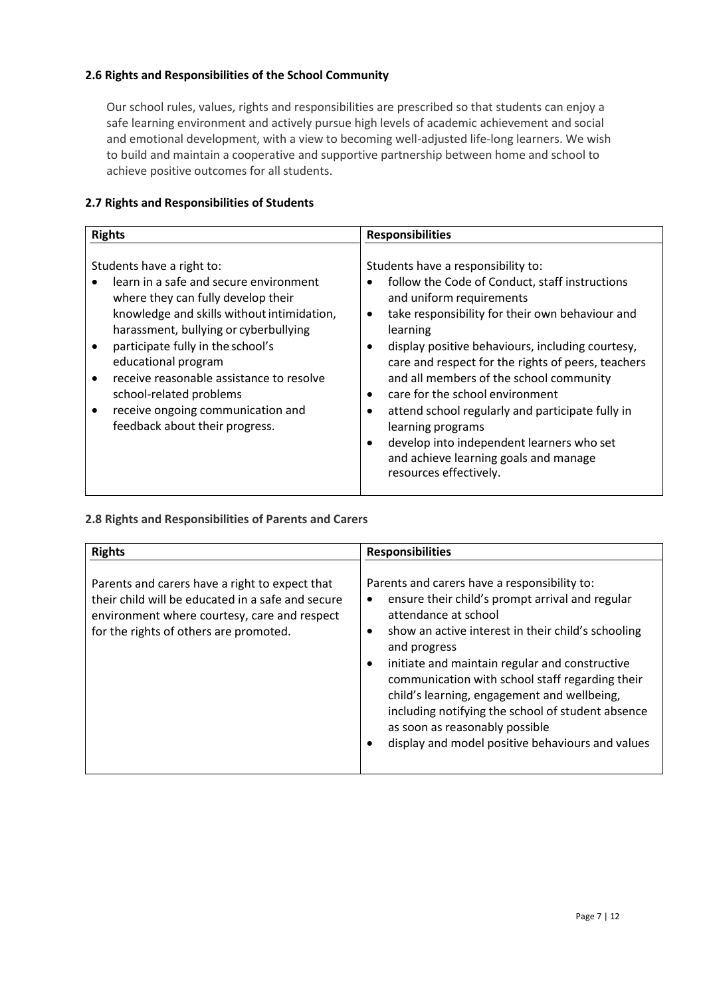## **2.6 Rights and Responsibilities of the School Community**

Our school rules, values, rights and responsibilities are prescribed so that students can enjoy a safe learning environment and actively pursue high levels of academic achievement and social and emotional development, with a view to becoming well-adjusted life-long learners. We wish to build and maintain a cooperative and supportive partnership between home and school to achieve positive outcomes for all students.

## **2.7 Rights and Responsibilities of Students**

| <b>Rights</b>                                                                                                                                                                                                                                                                                                                                                                                              | <b>Responsibilities</b>                                                                                                                                                                                                                                                                                                                                                                                                                                                                                                                                          |
|------------------------------------------------------------------------------------------------------------------------------------------------------------------------------------------------------------------------------------------------------------------------------------------------------------------------------------------------------------------------------------------------------------|------------------------------------------------------------------------------------------------------------------------------------------------------------------------------------------------------------------------------------------------------------------------------------------------------------------------------------------------------------------------------------------------------------------------------------------------------------------------------------------------------------------------------------------------------------------|
| Students have a right to:<br>learn in a safe and secure environment<br>where they can fully develop their<br>knowledge and skills without intimidation,<br>harassment, bullying or cyberbullying<br>participate fully in the school's<br>educational program<br>receive reasonable assistance to resolve<br>school-related problems<br>receive ongoing communication and<br>feedback about their progress. | Students have a responsibility to:<br>follow the Code of Conduct, staff instructions<br>and uniform requirements<br>take responsibility for their own behaviour and<br>learning<br>display positive behaviours, including courtesy,<br>care and respect for the rights of peers, teachers<br>and all members of the school community<br>care for the school environment<br>attend school regularly and participate fully in<br>learning programs<br>develop into independent learners who set<br>and achieve learning goals and manage<br>resources effectively. |

## **2.8 Rights and Responsibilities of Parents and Carers**

| <b>Rights</b>                                                                                                                                                                                 | <b>Responsibilities</b>                                                                                                                                                                                                                                                                                                                                                                                                                                                                      |
|-----------------------------------------------------------------------------------------------------------------------------------------------------------------------------------------------|----------------------------------------------------------------------------------------------------------------------------------------------------------------------------------------------------------------------------------------------------------------------------------------------------------------------------------------------------------------------------------------------------------------------------------------------------------------------------------------------|
| Parents and carers have a right to expect that<br>their child will be educated in a safe and secure<br>environment where courtesy, care and respect<br>for the rights of others are promoted. | Parents and carers have a responsibility to:<br>ensure their child's prompt arrival and regular<br>attendance at school<br>show an active interest in their child's schooling<br>and progress<br>initiate and maintain regular and constructive<br>communication with school staff regarding their<br>child's learning, engagement and wellbeing,<br>including notifying the school of student absence<br>as soon as reasonably possible<br>display and model positive behaviours and values |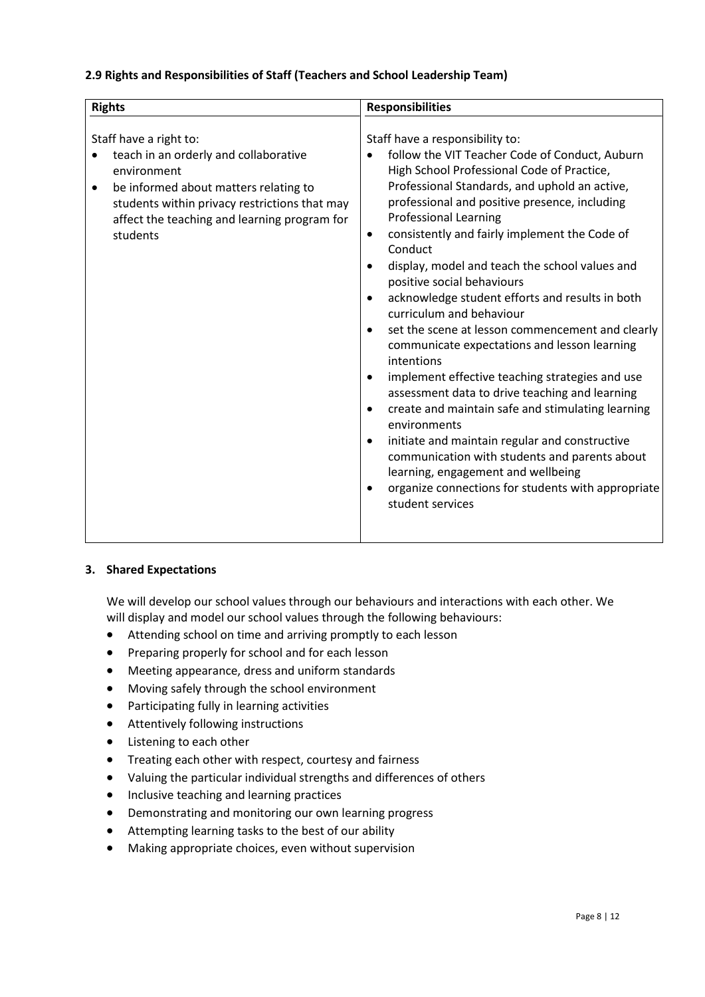## **2.9 Rights and Responsibilities of Staff (Teachers and School Leadership Team)**

| <b>Rights</b>                                                                                                                                                                                                                             | <b>Responsibilities</b>                                                                                                                                                                                                                                                                                                                                                                                                                                                                                                                                                                                                                                                                                                                                                                                                                                                                                                                                                                                                  |
|-------------------------------------------------------------------------------------------------------------------------------------------------------------------------------------------------------------------------------------------|--------------------------------------------------------------------------------------------------------------------------------------------------------------------------------------------------------------------------------------------------------------------------------------------------------------------------------------------------------------------------------------------------------------------------------------------------------------------------------------------------------------------------------------------------------------------------------------------------------------------------------------------------------------------------------------------------------------------------------------------------------------------------------------------------------------------------------------------------------------------------------------------------------------------------------------------------------------------------------------------------------------------------|
| Staff have a right to:<br>teach in an orderly and collaborative<br>environment<br>be informed about matters relating to<br>٠<br>students within privacy restrictions that may<br>affect the teaching and learning program for<br>students | Staff have a responsibility to:<br>follow the VIT Teacher Code of Conduct, Auburn<br>High School Professional Code of Practice,<br>Professional Standards, and uphold an active,<br>professional and positive presence, including<br><b>Professional Learning</b><br>consistently and fairly implement the Code of<br>$\bullet$<br>Conduct<br>display, model and teach the school values and<br>positive social behaviours<br>acknowledge student efforts and results in both<br>curriculum and behaviour<br>set the scene at lesson commencement and clearly<br>communicate expectations and lesson learning<br>intentions<br>implement effective teaching strategies and use<br>assessment data to drive teaching and learning<br>create and maintain safe and stimulating learning<br>environments<br>initiate and maintain regular and constructive<br>communication with students and parents about<br>learning, engagement and wellbeing<br>organize connections for students with appropriate<br>student services |

## **3. Shared Expectations**

We will develop our school values through our behaviours and interactions with each other. We will display and model our school values through the following behaviours:

- Attending school on time and arriving promptly to each lesson
- Preparing properly for school and for each lesson
- Meeting appearance, dress and uniform standards
- Moving safely through the school environment
- Participating fully in learning activities
- Attentively following instructions
- Listening to each other
- Treating each other with respect, courtesy and fairness
- Valuing the particular individual strengths and differences of others
- Inclusive teaching and learning practices
- Demonstrating and monitoring our own learning progress
- Attempting learning tasks to the best of our ability
- Making appropriate choices, even without supervision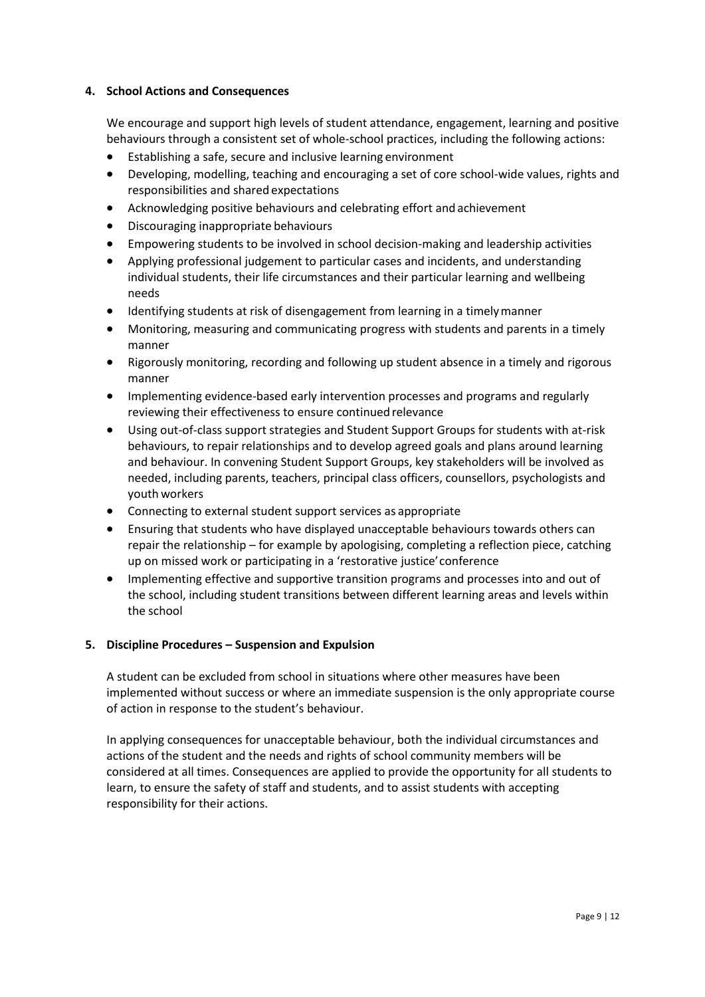## **4. School Actions and Consequences**

We encourage and support high levels of student attendance, engagement, learning and positive behaviours through a consistent set of whole-school practices, including the following actions:

- Establishing a safe, secure and inclusive learning environment
- Developing, modelling, teaching and encouraging a set of core school-wide values, rights and responsibilities and shared expectations
- Acknowledging positive behaviours and celebrating effort and achievement
- Discouraging inappropriate behaviours
- Empowering students to be involved in school decision-making and leadership activities
- Applying professional judgement to particular cases and incidents, and understanding individual students, their life circumstances and their particular learning and wellbeing needs
- Identifying students at risk of disengagement from learning in a timelymanner
- Monitoring, measuring and communicating progress with students and parents in a timely manner
- Rigorously monitoring, recording and following up student absence in a timely and rigorous manner
- Implementing evidence-based early intervention processes and programs and regularly reviewing their effectiveness to ensure continued relevance
- Using out-of-class support strategies and Student Support Groups for students with at-risk behaviours, to repair relationships and to develop agreed goals and plans around learning and behaviour. In convening Student Support Groups, key stakeholders will be involved as needed, including parents, teachers, principal class officers, counsellors, psychologists and youth workers
- Connecting to external student support services as appropriate
- Ensuring that students who have displayed unacceptable behaviours towards others can repair the relationship – for example by apologising, completing a reflection piece, catching up on missed work or participating in a 'restorative justice'conference
- Implementing effective and supportive transition programs and processes into and out of the school, including student transitions between different learning areas and levels within the school

## **5. Discipline Procedures – Suspension and Expulsion**

A student can be excluded from school in situations where other measures have been implemented without success or where an immediate suspension is the only appropriate course of action in response to the student's behaviour.

In applying consequences for unacceptable behaviour, both the individual circumstances and actions of the student and the needs and rights of school community members will be considered at all times. Consequences are applied to provide the opportunity for all students to learn, to ensure the safety of staff and students, and to assist students with accepting responsibility for their actions.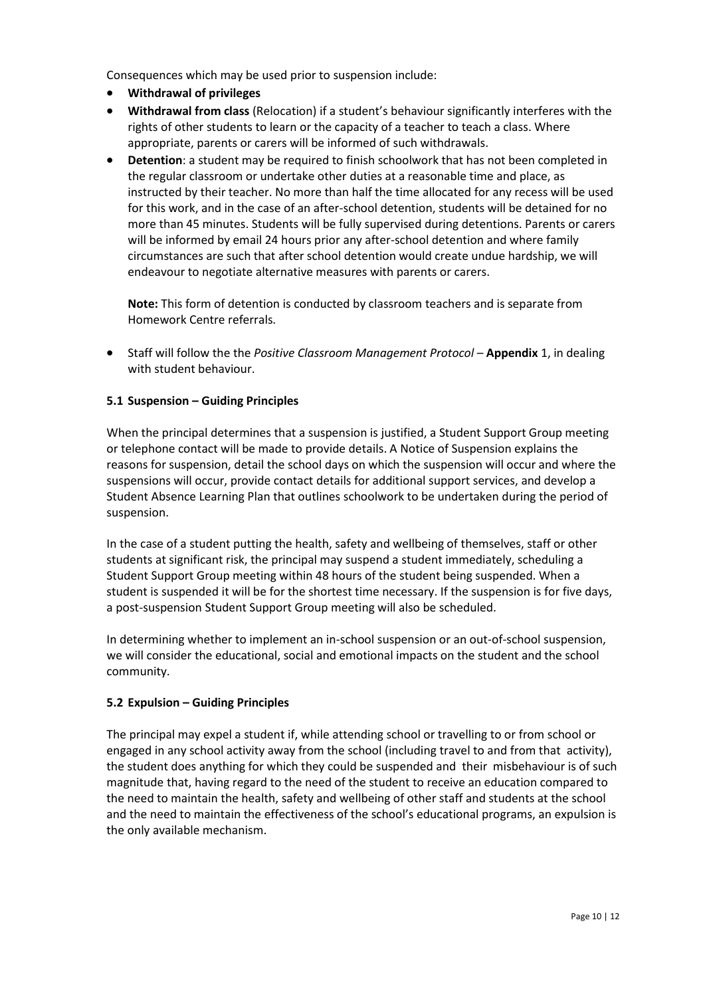Consequences which may be used prior to suspension include:

- **Withdrawal of privileges**
- **Withdrawal from class** (Relocation) if a student's behaviour significantly interferes with the rights of other students to learn or the capacity of a teacher to teach a class. Where appropriate, parents or carers will be informed of such withdrawals.
- **Detention**: a student may be required to finish schoolwork that has not been completed in the regular classroom or undertake other duties at a reasonable time and place, as instructed by their teacher. No more than half the time allocated for any recess will be used for this work, and in the case of an after-school detention, students will be detained for no more than 45 minutes. Students will be fully supervised during detentions. Parents or carers will be informed by email 24 hours prior any after-school detention and where family circumstances are such that after school detention would create undue hardship, we will endeavour to negotiate alternative measures with parents or carers.

**Note:** This form of detention is conducted by classroom teachers and is separate from Homework Centre referrals.

 Staff will follow the the *Positive Classroom Management Protocol* – **Appendix** 1, in dealing with student behaviour.

## **5.1 Suspension – Guiding Principles**

When the principal determines that a suspension is justified, a Student Support Group meeting or telephone contact will be made to provide details. A Notice of Suspension explains the reasons for suspension, detail the school days on which the suspension will occur and where the suspensions will occur, provide contact details for additional support services, and develop a Student Absence Learning Plan that outlines schoolwork to be undertaken during the period of suspension.

In the case of a student putting the health, safety and wellbeing of themselves, staff or other students at significant risk, the principal may suspend a student immediately, scheduling a Student Support Group meeting within 48 hours of the student being suspended. When a student is suspended it will be for the shortest time necessary. If the suspension is for five days, a post-suspension Student Support Group meeting will also be scheduled.

In determining whether to implement an in-school suspension or an out-of-school suspension, we will consider the educational, social and emotional impacts on the student and the school community.

## **5.2 Expulsion – Guiding Principles**

The principal may expel a student if, while attending school or travelling to or from school or engaged in any school activity away from the school (including travel to and from that activity), the student does anything for which they could be suspended and their misbehaviour is of such magnitude that, having regard to the need of the student to receive an education compared to the need to maintain the health, safety and wellbeing of other staff and students at the school and the need to maintain the effectiveness of the school's educational programs, an expulsion is the only available mechanism.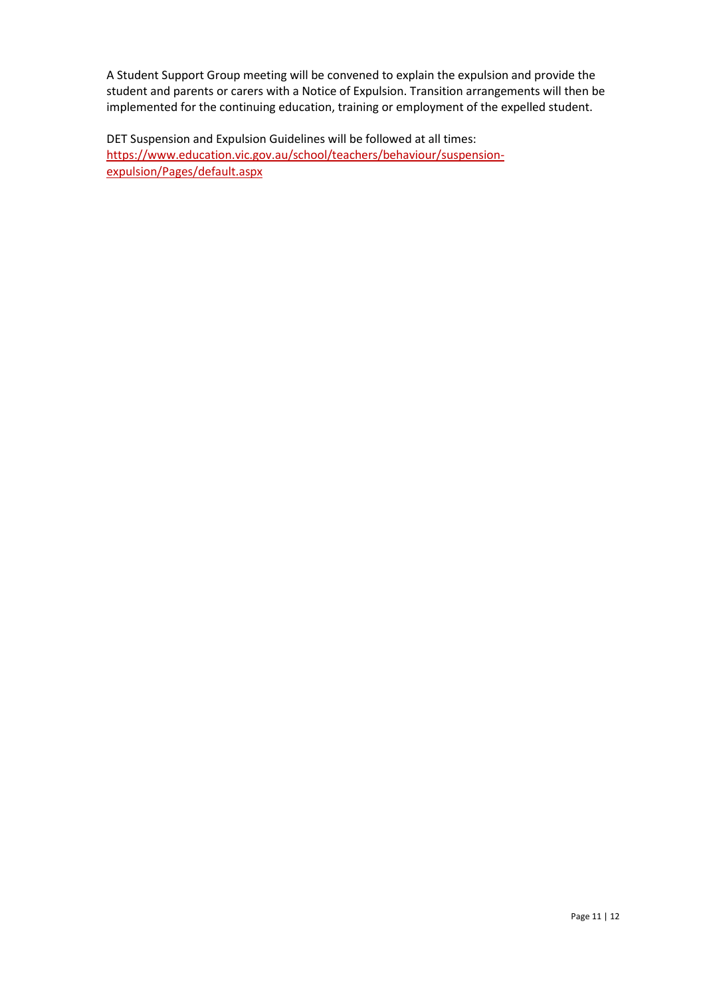A Student Support Group meeting will be convened to explain the expulsion and provide the student and parents or carers with a Notice of Expulsion. Transition arrangements will then be implemented for the continuing education, training or employment of the expelled student.

DET Suspension and Expulsion Guidelines will be followed at all times: [https://www.education.vic.gov.au/school/teachers/behaviour/suspension](https://www.education.vic.gov.au/school/teachers/behaviour/suspension-expulsion/Pages/default.aspx)[expulsion/Pages/default.aspx](https://www.education.vic.gov.au/school/teachers/behaviour/suspension-expulsion/Pages/default.aspx)